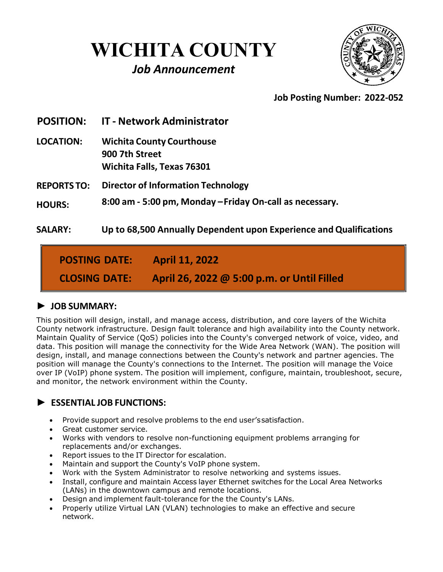# **WICHITA COUNTY**

## *Job Announcement*



## **Job Posting Number: 2022-052**

**POSITION: IT - Network Administrator**

- **LOCATION: Wichita County Courthouse 900 7th Street Wichita Falls, Texas 76301**
- **REPORTS TO: Director of Information Technology**

**HOURS: 8:00 am - 5:00 pm, Monday –Friday On-call as necessary.**

**SALARY: Up to 68,500 Annually Dependent upon Experience and Qualifications**

**POSTING DATE: CLOSING DATE: April 11, 2022 April 26, 2022 @ 5:00 p.m. or Until Filled**

## **► JOB SUMMARY:**

This position will design, install, and manage access, distribution, and core layers of the Wichita County network infrastructure. Design fault tolerance and high availability into the County network. Maintain Quality of Service (QoS) policies into the County's converged network of voice, video, and data. This position will manage the connectivity for the Wide Area Network (WAN). The position will design, install, and manage connections between the County's network and partner agencies. The position will manage the County's connections to the Internet. The position will manage the Voice over IP (VoIP) phone system. The position will implement, configure, maintain, troubleshoot, secure, and monitor, the network environment within the County.

## ► **ESSENTIAL JOB FUNCTIONS:**

- Provide support and resolve problems to the end user'ssatisfaction.
- Great customer service.
- Works with vendors to resolve non-functioning equipment problems arranging for replacements and/or exchanges.
- Report issues to the IT Director for escalation.
- Maintain and support the County's VoIP phone system.
- Work with the System Administrator to resolve networking and systems issues.
- Install, configure and maintain Access layer Ethernet switches for the Local Area Networks (LANs) in the downtown campus and remote locations.
- Design and implement fault-tolerance for the the County's LANs.
- Properly utilize Virtual LAN (VLAN) technologies to make an effective and secure network.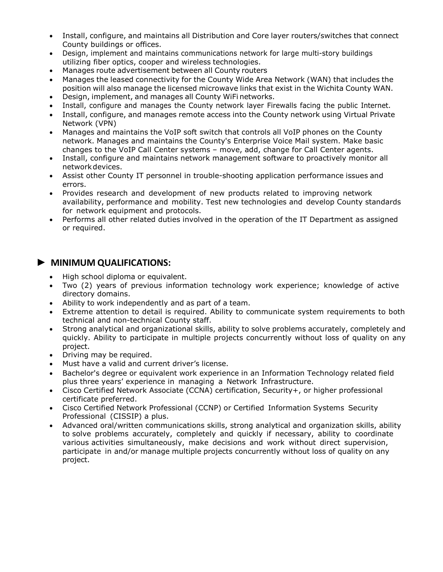- Install, configure, and maintains all Distribution and Core layer routers/switches that connect County buildings or offices.
- Design, implement and maintains communications network for large multi-story buildings utilizing fiber optics, cooper and wireless technologies.
- Manages route advertisement between all County routers
- Manages the leased connectivity for the County Wide Area Network (WAN) that includes the position will also manage the licensed microwave links that exist in the Wichita County WAN.
- Design, implement, and manages all County WiFi networks.
- Install, configure and manages the County network layer Firewalls facing the public Internet.
- Install, configure, and manages remote access into the County network using Virtual Private Network (VPN)
- Manages and maintains the VoIP soft switch that controls all VoIP phones on the County network. Manages and maintains the County's Enterprise Voice Mail system. Make basic changes to the VoIP Call Center systems – move, add, change for Call Center agents.
- Install, configure and maintains network management software to proactively monitor all networkdevices.
- Assist other County IT personnel in trouble-shooting application performance issues and errors.
- Provides research and development of new products related to improving network availability, performance and mobility. Test new technologies and develop County standards for network equipment and protocols.
- Performs all other related duties involved in the operation of the IT Department as assigned or required.

#### **► MINIMUM QUALIFICATIONS:**

- High school diploma or equivalent.
- Two (2) years of previous information technology work experience; knowledge of active directory domains.
- Ability to work independently and as part of a team.
- Extreme attention to detail is required. Ability to communicate system requirements to both technical and non-technical County staff.
- Strong analytical and organizational skills, ability to solve problems accurately, completely and quickly. Ability to participate in multiple projects concurrently without loss of quality on any project.
- Driving may be required.
- Must have a valid and current driver's license.
- Bachelor's degree or equivalent work experience in an Information Technology related field plus three years' experience in managing a Network Infrastructure.
- Cisco Certified Network Associate (CCNA) certification, Security+, or higher professional certificate preferred.
- Cisco Certified Network Professional (CCNP) or Certified Information Systems Security Professional (CISSIP) a plus.
- Advanced oral/written communications skills, strong analytical and organization skills, ability to solve problems accurately, completely and quickly if necessary, ability to coordinate various activities simultaneously, make decisions and work without direct supervision, participate in and/or manage multiple projects concurrently without loss of quality on any project.